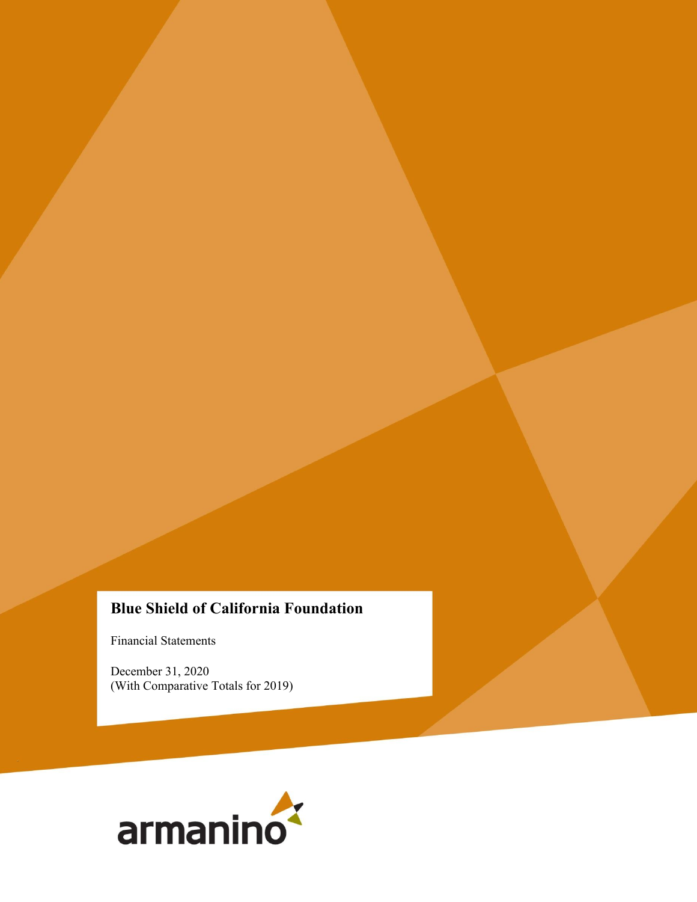# **Blue Shield of California Foundation**

Financial Statements

December 31, 2020 (With Comparative Totals for 2019)

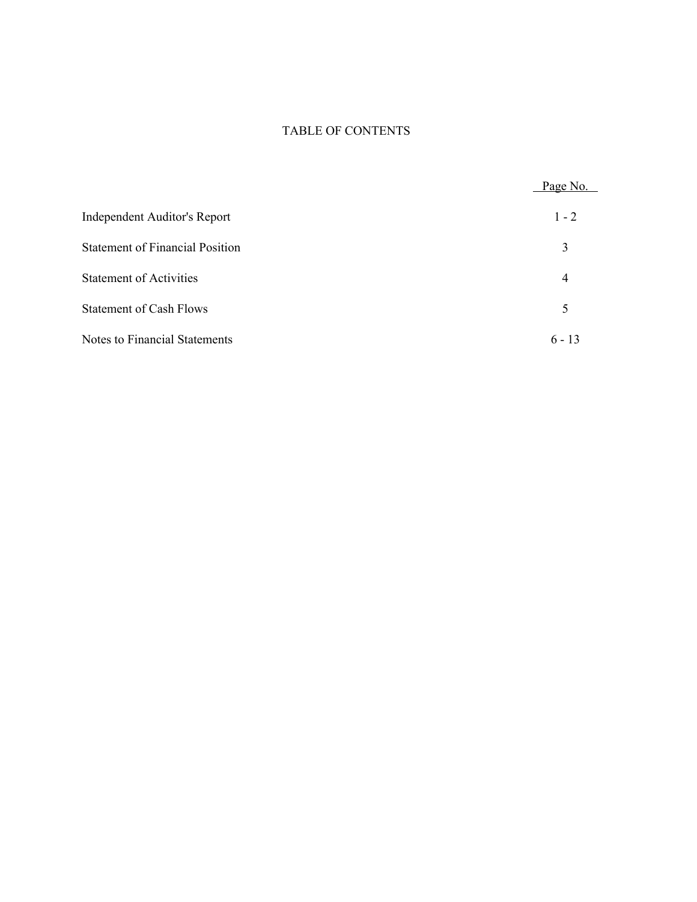# TABLE OF CONTENTS

|                                        | Page No. |
|----------------------------------------|----------|
| <b>Independent Auditor's Report</b>    | $1 - 2$  |
| <b>Statement of Financial Position</b> | 3        |
| <b>Statement of Activities</b>         | 4        |
| <b>Statement of Cash Flows</b>         | 5        |
| <b>Notes to Financial Statements</b>   | $6 - 13$ |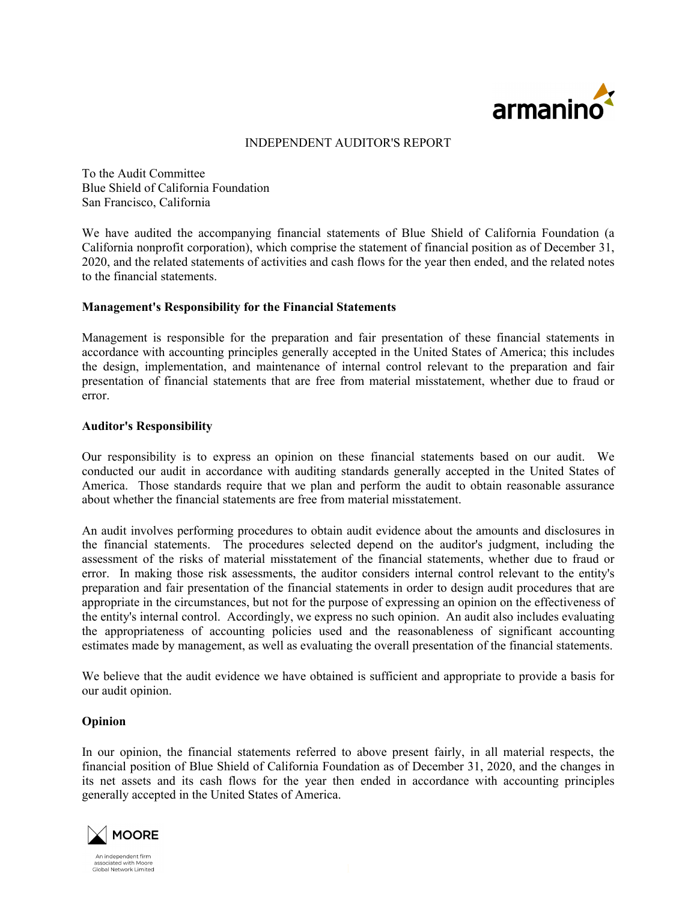

#### INDEPENDENT AUDITOR'S REPORT

To the Audit Committee Blue Shield of California Foundation San Francisco, California

We have audited the accompanying financial statements of Blue Shield of California Foundation (a California nonprofit corporation), which comprise the statement of financial position as of December 31, 2020, and the related statements of activities and cash flows for the year then ended, and the related notes to the financial statements.

#### **Management's Responsibility for the Financial Statements**

Management is responsible for the preparation and fair presentation of these financial statements in accordance with accounting principles generally accepted in the United States of America; this includes the design, implementation, and maintenance of internal control relevant to the preparation and fair presentation of financial statements that are free from material misstatement, whether due to fraud or error.

#### **Auditor's Responsibility**

Our responsibility is to express an opinion on these financial statements based on our audit. We conducted our audit in accordance with auditing standards generally accepted in the United States of America. Those standards require that we plan and perform the audit to obtain reasonable assurance about whether the financial statements are free from material misstatement.

An audit involves performing procedures to obtain audit evidence about the amounts and disclosures in the financial statements. The procedures selected depend on the auditor's judgment, including the assessment of the risks of material misstatement of the financial statements, whether due to fraud or error. In making those risk assessments, the auditor considers internal control relevant to the entity's preparation and fair presentation of the financial statements in order to design audit procedures that are appropriate in the circumstances, but not for the purpose of expressing an opinion on the effectiveness of the entity's internal control. Accordingly, we express no such opinion. An audit also includes evaluating the appropriateness of accounting policies used and the reasonableness of significant accounting estimates made by management, as well as evaluating the overall presentation of the financial statements.

We believe that the audit evidence we have obtained is sufficient and appropriate to provide a basis for our audit opinion.

### **Opinion**

In our opinion, the financial statements referred to above present fairly, in all material respects, the financial position of Blue Shield of California Foundation as of December 31, 2020, and the changes in its net assets and its cash flows for the year then ended in accordance with accounting principles generally accepted in the United States of America.



An indenendent firm Arringependent mini-<br>associated with Moore<br>Global Network Limited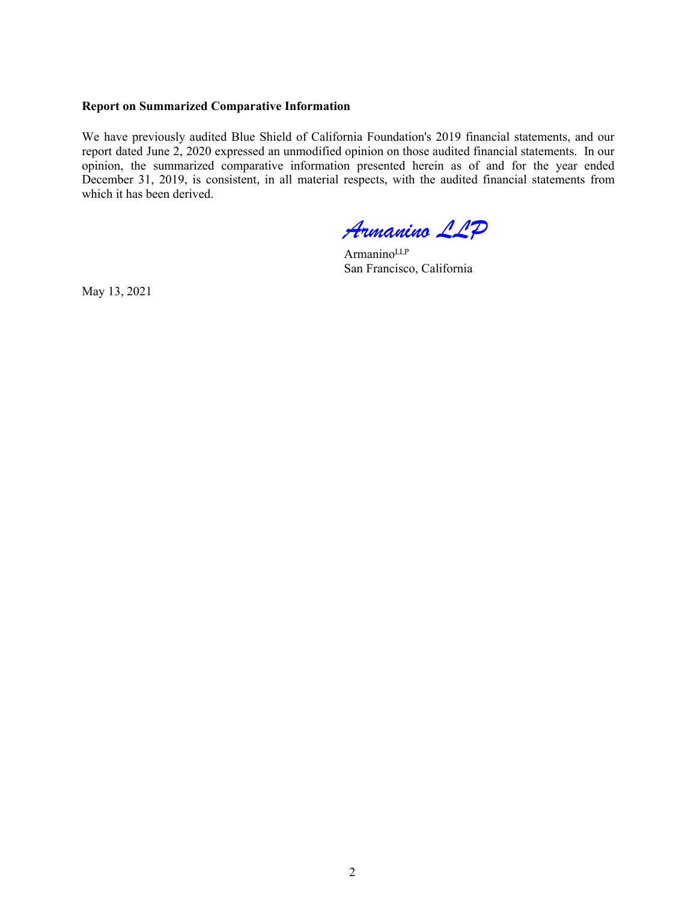#### **Report on Summarized Comparative Information**

We have previously audited Blue Shield of California Foundation's 2019 financial statements, and our report dated June 2, 2020 expressed an unmodified opinion on those audited financial statements. In our opinion, the summarized comparative information presented herein as of and for the year ended December 31, 2019, is consistent, in all material respects, with the audited financial statements from which it has been derived.

*Armanino LLP*

ArmaninoLLP San Francisco, California

May 13, 2021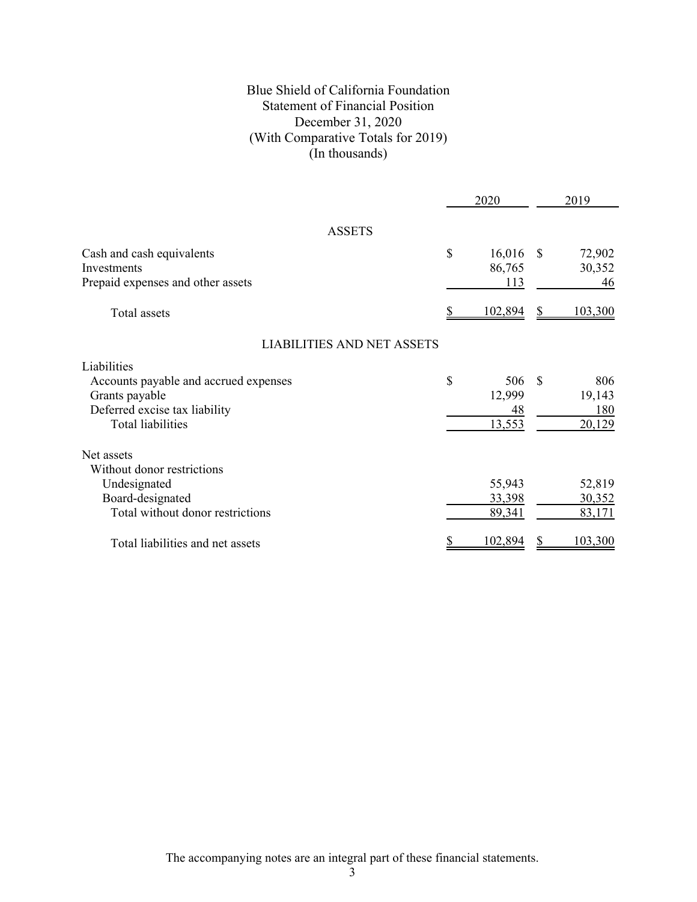# Blue Shield of California Foundation Statement of Financial Position December 31, 2020 (With Comparative Totals for 2019) (In thousands)

|                                                                                                                                     | 2020                                |               | 2019                           |
|-------------------------------------------------------------------------------------------------------------------------------------|-------------------------------------|---------------|--------------------------------|
| <b>ASSETS</b>                                                                                                                       |                                     |               |                                |
| Cash and cash equivalents<br>Investments<br>Prepaid expenses and other assets                                                       | \$<br>16,016<br>86,765<br>113       | <sup>\$</sup> | 72,902<br>30,352<br>46         |
| Total assets                                                                                                                        | 102,894                             | \$            | 103,300                        |
| <b>LIABILITIES AND NET ASSETS</b>                                                                                                   |                                     |               |                                |
| Liabilities<br>Accounts payable and accrued expenses<br>Grants payable<br>Deferred excise tax liability<br><b>Total liabilities</b> | \$<br>506<br>12,999<br>48<br>13,553 | S             | 806<br>19,143<br>180<br>20,129 |
| Net assets<br>Without donor restrictions<br>Undesignated<br>Board-designated<br>Total without donor restrictions                    | 55,943<br>33,398<br>89,341          |               | 52,819<br>30,352<br>83,171     |
| Total liabilities and net assets                                                                                                    | 102,894                             |               | 103,300                        |

The accompanying notes are an integral part of these financial statements.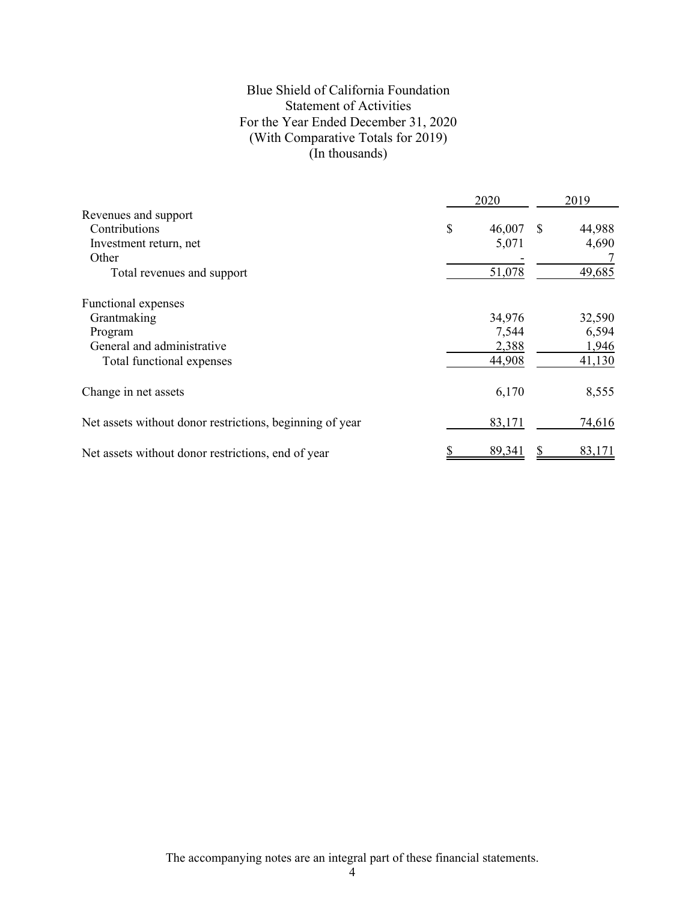# Blue Shield of California Foundation Statement of Activities For the Year Ended December 31, 2020 (With Comparative Totals for 2019) (In thousands)

|                                                          | 2020         | 2019          |        |  |
|----------------------------------------------------------|--------------|---------------|--------|--|
| Revenues and support                                     |              |               |        |  |
| Contributions                                            | \$<br>46,007 | <sup>\$</sup> | 44,988 |  |
| Investment return, net                                   | 5,071        |               | 4,690  |  |
| Other                                                    |              |               |        |  |
| Total revenues and support                               | 51,078       |               | 49,685 |  |
| Functional expenses                                      |              |               |        |  |
| Grantmaking                                              | 34,976       |               | 32,590 |  |
| Program                                                  | 7,544        |               | 6,594  |  |
| General and administrative                               | 2,388        |               | 1,946  |  |
| Total functional expenses                                | 44,908       |               | 41,130 |  |
| Change in net assets                                     | 6,170        |               | 8,555  |  |
| Net assets without donor restrictions, beginning of year | 83,171       |               | 74,616 |  |
| Net assets without donor restrictions, end of year       | 89,341       |               | 83,171 |  |

The accompanying notes are an integral part of these financial statements.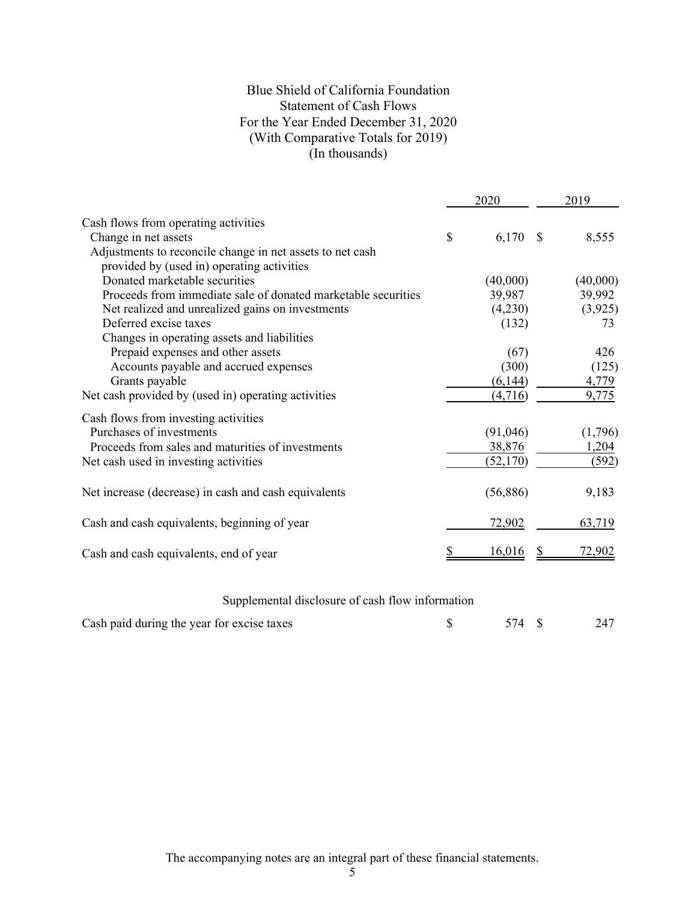# Blue Shield of California Foundation Statement of Cash Flows For the Year Ended December 31, 2020 (With Comparative Totals for 2019) (In thousands)

|                                                                                                         |    | 2020          |      | 2019     |
|---------------------------------------------------------------------------------------------------------|----|---------------|------|----------|
| Cash flows from operating activities                                                                    |    |               |      |          |
| Change in net assets                                                                                    | \$ | 6,170         | - \$ | 8,555    |
| Adjustments to reconcile change in net assets to net cash<br>provided by (used in) operating activities |    |               |      |          |
| Donated marketable securities                                                                           |    | (40,000)      |      | (40,000) |
| Proceeds from immediate sale of donated marketable securities                                           |    | 39,987        |      | 39,992   |
| Net realized and unrealized gains on investments                                                        |    | (4,230)       |      | (3,925)  |
| Deferred excise taxes                                                                                   |    | (132)         |      | 73       |
| Changes in operating assets and liabilities                                                             |    |               |      |          |
| Prepaid expenses and other assets                                                                       |    | (67)          |      | 426      |
| Accounts payable and accrued expenses                                                                   |    | (300)         |      | (125)    |
| Grants payable                                                                                          |    | (6,144)       |      | 4,779    |
| Net cash provided by (used in) operating activities                                                     |    | (4,716)       |      | 9,775    |
| Cash flows from investing activities                                                                    |    |               |      |          |
| Purchases of investments                                                                                |    | (91,046)      |      | (1,796)  |
| Proceeds from sales and maturities of investments                                                       |    | 38,876        |      | 1,204    |
| Net cash used in investing activities                                                                   |    | (52,170)      |      | (592)    |
| Net increase (decrease) in cash and cash equivalents                                                    |    | (56,886)      |      | 9,183    |
| Cash and cash equivalents, beginning of year                                                            |    | <u>72,902</u> |      | 63,719   |
| Cash and cash equivalents, end of year                                                                  |    | 16,016        |      | 72.902   |
|                                                                                                         |    |               |      |          |

# Supplemental disclosure of cash flow information

| Cash paid during the year for excise taxes |  |  |  |
|--------------------------------------------|--|--|--|
|--------------------------------------------|--|--|--|

The accompanying notes are an integral part of these financial statements.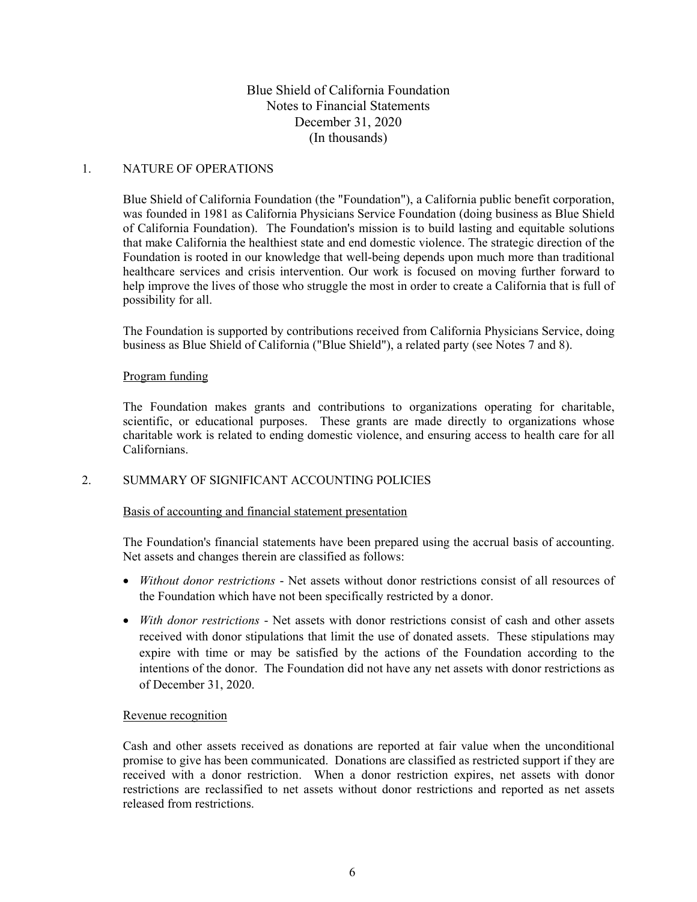### 1. NATURE OF OPERATIONS

Blue Shield of California Foundation (the "Foundation"), a California public benefit corporation, was founded in 1981 as California Physicians Service Foundation (doing business as Blue Shield of California Foundation). The Foundation's mission is to build lasting and equitable solutions that make California the healthiest state and end domestic violence. The strategic direction of the Foundation is rooted in our knowledge that well-being depends upon much more than traditional healthcare services and crisis intervention. Our work is focused on moving further forward to help improve the lives of those who struggle the most in order to create a California that is full of possibility for all.

The Foundation is supported by contributions received from California Physicians Service, doing business as Blue Shield of California ("Blue Shield"), a related party (see Notes 7 and 8).

#### Program funding

The Foundation makes grants and contributions to organizations operating for charitable, scientific, or educational purposes. These grants are made directly to organizations whose charitable work is related to ending domestic violence, and ensuring access to health care for all Californians.

#### 2. SUMMARY OF SIGNIFICANT ACCOUNTING POLICIES

#### Basis of accounting and financial statement presentation

The Foundation's financial statements have been prepared using the accrual basis of accounting. Net assets and changes therein are classified as follows:

- *Without donor restrictions* Net assets without donor restrictions consist of all resources of the Foundation which have not been specifically restricted by a donor.
- *With donor restrictions* Net assets with donor restrictions consist of cash and other assets received with donor stipulations that limit the use of donated assets. These stipulations may expire with time or may be satisfied by the actions of the Foundation according to the intentions of the donor. The Foundation did not have any net assets with donor restrictions as of December 31, 2020.

#### Revenue recognition

Cash and other assets received as donations are reported at fair value when the unconditional promise to give has been communicated. Donations are classified as restricted support if they are received with a donor restriction. When a donor restriction expires, net assets with donor restrictions are reclassified to net assets without donor restrictions and reported as net assets released from restrictions.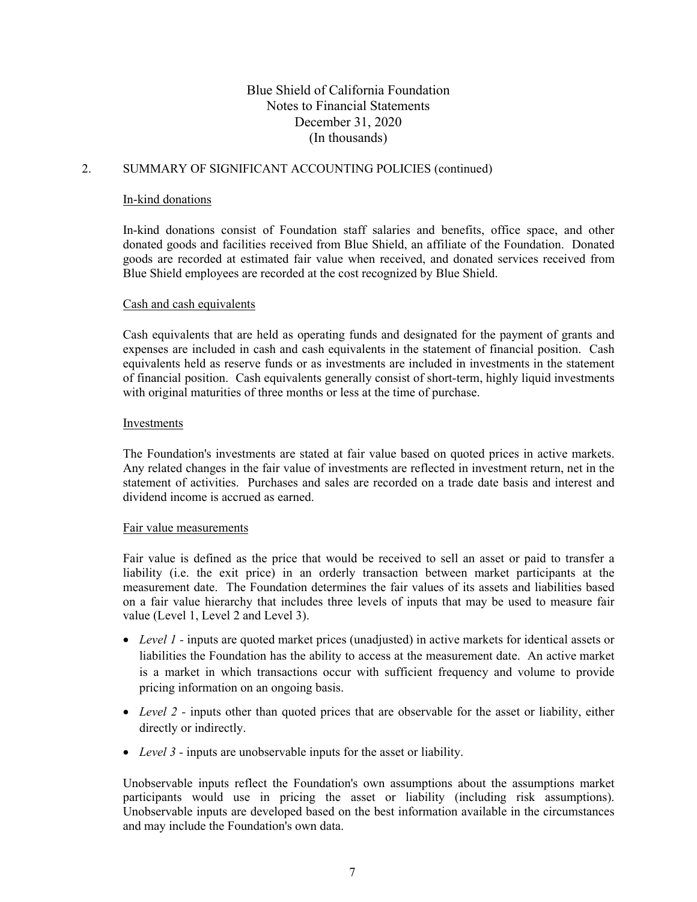# 2. SUMMARY OF SIGNIFICANT ACCOUNTING POLICIES (continued)

### In-kind donations

In-kind donations consist of Foundation staff salaries and benefits, office space, and other donated goods and facilities received from Blue Shield, an affiliate of the Foundation. Donated goods are recorded at estimated fair value when received, and donated services received from Blue Shield employees are recorded at the cost recognized by Blue Shield.

#### Cash and cash equivalents

Cash equivalents that are held as operating funds and designated for the payment of grants and expenses are included in cash and cash equivalents in the statement of financial position. Cash equivalents held as reserve funds or as investments are included in investments in the statement of financial position. Cash equivalents generally consist of short-term, highly liquid investments with original maturities of three months or less at the time of purchase.

#### Investments

The Foundation's investments are stated at fair value based on quoted prices in active markets. Any related changes in the fair value of investments are reflected in investment return, net in the statement of activities. Purchases and sales are recorded on a trade date basis and interest and dividend income is accrued as earned.

#### Fair value measurements

Fair value is defined as the price that would be received to sell an asset or paid to transfer a liability (i.e. the exit price) in an orderly transaction between market participants at the measurement date. The Foundation determines the fair values of its assets and liabilities based on a fair value hierarchy that includes three levels of inputs that may be used to measure fair value (Level 1, Level 2 and Level 3).

- *Level 1 -* inputs are quoted market prices (unadjusted) in active markets for identical assets or liabilities the Foundation has the ability to access at the measurement date. An active market is a market in which transactions occur with sufficient frequency and volume to provide pricing information on an ongoing basis.
- *Level 2 -* inputs other than quoted prices that are observable for the asset or liability, either directly or indirectly.
- *Level 3 -* inputs are unobservable inputs for the asset or liability.

Unobservable inputs reflect the Foundation's own assumptions about the assumptions market participants would use in pricing the asset or liability (including risk assumptions). Unobservable inputs are developed based on the best information available in the circumstances and may include the Foundation's own data.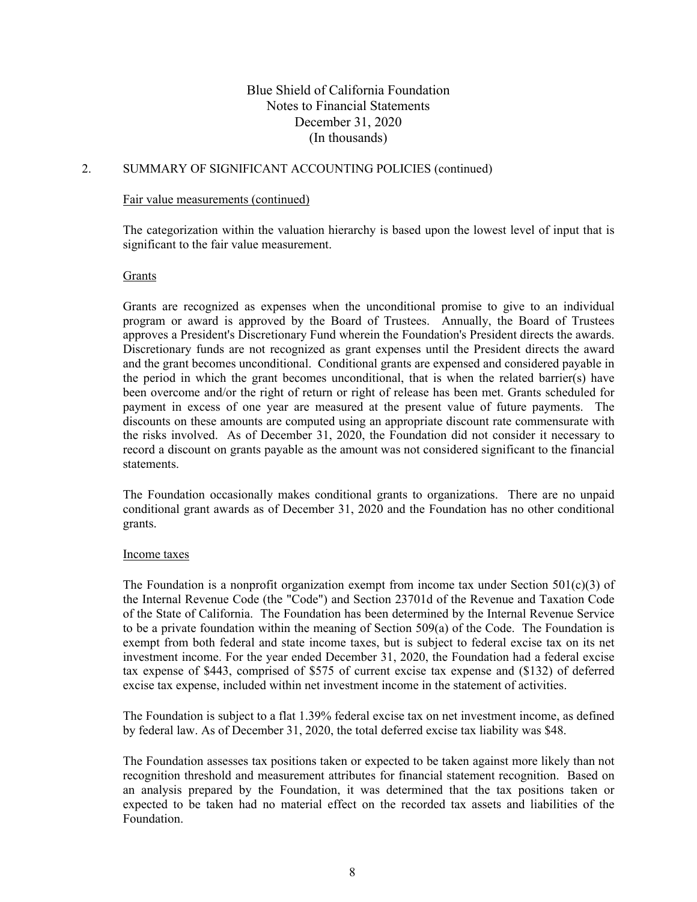### 2. SUMMARY OF SIGNIFICANT ACCOUNTING POLICIES (continued)

#### Fair value measurements (continued)

The categorization within the valuation hierarchy is based upon the lowest level of input that is significant to the fair value measurement.

#### Grants

Grants are recognized as expenses when the unconditional promise to give to an individual program or award is approved by the Board of Trustees. Annually, the Board of Trustees approves a President's Discretionary Fund wherein the Foundation's President directs the awards. Discretionary funds are not recognized as grant expenses until the President directs the award and the grant becomes unconditional. Conditional grants are expensed and considered payable in the period in which the grant becomes unconditional, that is when the related barrier(s) have been overcome and/or the right of return or right of release has been met. Grants scheduled for payment in excess of one year are measured at the present value of future payments. The discounts on these amounts are computed using an appropriate discount rate commensurate with the risks involved. As of December 31, 2020, the Foundation did not consider it necessary to record a discount on grants payable as the amount was not considered significant to the financial statements.

The Foundation occasionally makes conditional grants to organizations. There are no unpaid conditional grant awards as of December 31, 2020 and the Foundation has no other conditional grants.

#### Income taxes

The Foundation is a nonprofit organization exempt from income tax under Section 501(c)(3) of the Internal Revenue Code (the "Code") and Section 23701d of the Revenue and Taxation Code of the State of California. The Foundation has been determined by the Internal Revenue Service to be a private foundation within the meaning of Section 509(a) of the Code. The Foundation is exempt from both federal and state income taxes, but is subject to federal excise tax on its net investment income. For the year ended December 31, 2020, the Foundation had a federal excise tax expense of \$443, comprised of \$575 of current excise tax expense and (\$132) of deferred excise tax expense, included within net investment income in the statement of activities.

The Foundation is subject to a flat 1.39% federal excise tax on net investment income, as defined by federal law. As of December 31, 2020, the total deferred excise tax liability was \$48.

The Foundation assesses tax positions taken or expected to be taken against more likely than not recognition threshold and measurement attributes for financial statement recognition. Based on an analysis prepared by the Foundation, it was determined that the tax positions taken or expected to be taken had no material effect on the recorded tax assets and liabilities of the Foundation.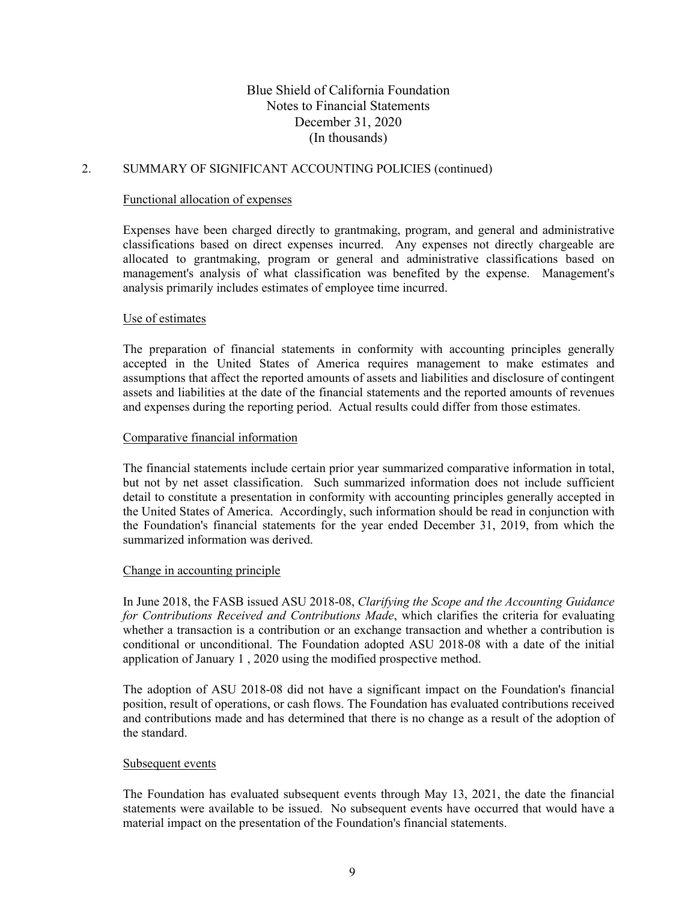### 2. SUMMARY OF SIGNIFICANT ACCOUNTING POLICIES (continued)

### Functional allocation of expenses

Expenses have been charged directly to grantmaking, program, and general and administrative classifications based on direct expenses incurred. Any expenses not directly chargeable are allocated to grantmaking, program or general and administrative classifications based on management's analysis of what classification was benefited by the expense. Management's analysis primarily includes estimates of employee time incurred.

#### Use of estimates

The preparation of financial statements in conformity with accounting principles generally accepted in the United States of America requires management to make estimates and assumptions that affect the reported amounts of assets and liabilities and disclosure of contingent assets and liabilities at the date of the financial statements and the reported amounts of revenues and expenses during the reporting period. Actual results could differ from those estimates.

#### Comparative financial information

The financial statements include certain prior year summarized comparative information in total, but not by net asset classification. Such summarized information does not include sufficient detail to constitute a presentation in conformity with accounting principles generally accepted in the United States of America. Accordingly, such information should be read in conjunction with the Foundation's financial statements for the year ended December 31, 2019, from which the summarized information was derived.

#### Change in accounting principle

In June 2018, the FASB issued ASU 2018-08, *Clarifying the Scope and the Accounting Guidance for Contributions Received and Contributions Made*, which clarifies the criteria for evaluating whether a transaction is a contribution or an exchange transaction and whether a contribution is conditional or unconditional. The Foundation adopted ASU 2018-08 with a date of the initial application of January 1 , 2020 using the modified prospective method.

The adoption of ASU 2018-08 did not have a significant impact on the Foundation's financial position, result of operations, or cash flows. The Foundation has evaluated contributions received and contributions made and has determined that there is no change as a result of the adoption of the standard.

### Subsequent events

The Foundation has evaluated subsequent events through May 13, 2021, the date the financial statements were available to be issued. No subsequent events have occurred that would have a material impact on the presentation of the Foundation's financial statements.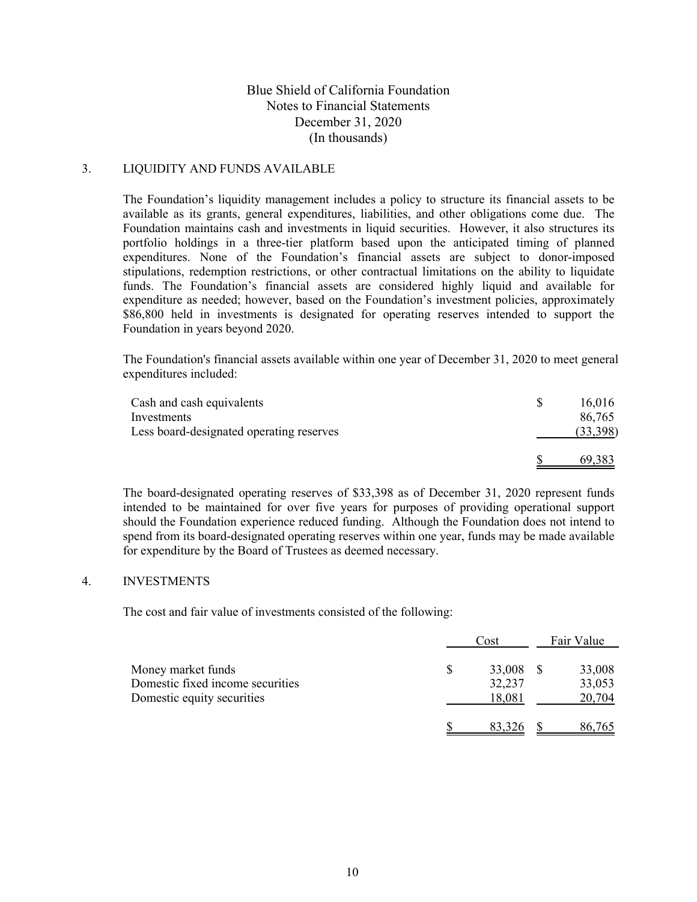# 3. LIQUIDITY AND FUNDS AVAILABLE

The Foundation's liquidity management includes a policy to structure its financial assets to be available as its grants, general expenditures, liabilities, and other obligations come due. The Foundation maintains cash and investments in liquid securities. However, it also structures its portfolio holdings in a three-tier platform based upon the anticipated timing of planned expenditures. None of the Foundation's financial assets are subject to donor-imposed stipulations, redemption restrictions, or other contractual limitations on the ability to liquidate funds. The Foundation's financial assets are considered highly liquid and available for expenditure as needed; however, based on the Foundation's investment policies, approximately \$86,800 held in investments is designated for operating reserves intended to support the Foundation in years beyond 2020.

The Foundation's financial assets available within one year of December 31, 2020 to meet general expenditures included:

| Cash and cash equivalents<br>Investments | 16.016<br>86,765 |
|------------------------------------------|------------------|
| Less board-designated operating reserves | (33,398)         |
|                                          | 69,383           |

The board-designated operating reserves of \$33,398 as of December 31, 2020 represent funds intended to be maintained for over five years for purposes of providing operational support should the Foundation experience reduced funding. Although the Foundation does not intend to spend from its board-designated operating reserves within one year, funds may be made available for expenditure by the Board of Trustees as deemed necessary.

### 4. INVESTMENTS

The cost and fair value of investments consisted of the following:

|                                                                                      | Cost                       | Fair Value                 |
|--------------------------------------------------------------------------------------|----------------------------|----------------------------|
| Money market funds<br>Domestic fixed income securities<br>Domestic equity securities | 33,008<br>32,237<br>18,081 | 33,008<br>33,053<br>20,704 |
|                                                                                      | 83,326                     | 86,765                     |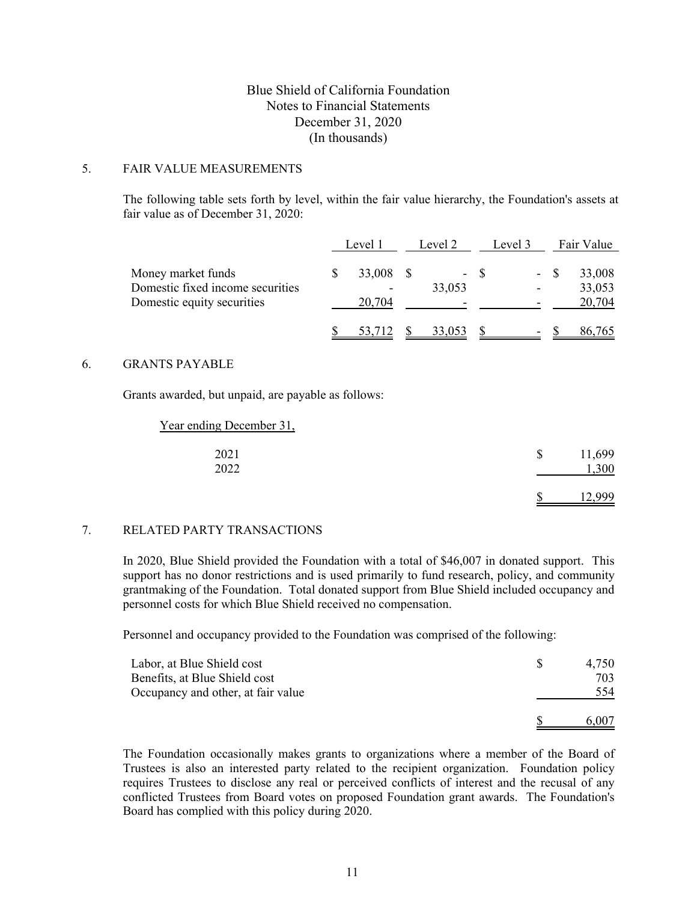#### 5. FAIR VALUE MEASUREMENTS

The following table sets forth by level, within the fair value hierarchy, the Foundation's assets at fair value as of December 31, 2020:

|                                                                                      | Level 1 |                                              | Level 2 |                                    | Level 3 |                          | Fair Value |                            |
|--------------------------------------------------------------------------------------|---------|----------------------------------------------|---------|------------------------------------|---------|--------------------------|------------|----------------------------|
| Money market funds<br>Domestic fixed income securities<br>Domestic equity securities |         | 33,008<br>$\overline{\phantom{a}}$<br>20,704 |         | 33,053<br>$\overline{\phantom{0}}$ | - \$    |                          | $- S$      | 33,008<br>33,053<br>20,704 |
|                                                                                      |         | 53,712                                       |         | 33,053                             |         | $\overline{\phantom{a}}$ |            | 86,765                     |

#### 6. GRANTS PAYABLE

Grants awarded, but unpaid, are payable as follows:

| Year ending December 31, |                           |        |
|--------------------------|---------------------------|--------|
| 2021                     | $\boldsymbol{\mathsf{S}}$ | 11,699 |
| 2022                     |                           | ,300   |
|                          |                           |        |

### 7. RELATED PARTY TRANSACTIONS

In 2020, Blue Shield provided the Foundation with a total of \$46,007 in donated support. This support has no donor restrictions and is used primarily to fund research, policy, and community grantmaking of the Foundation. Total donated support from Blue Shield included occupancy and personnel costs for which Blue Shield received no compensation.

Personnel and occupancy provided to the Foundation was comprised of the following:

| Labor, at Blue Shield cost         | 4.750 |
|------------------------------------|-------|
| Benefits, at Blue Shield cost      | 703   |
| Occupancy and other, at fair value | 554   |
|                                    | 6.007 |

The Foundation occasionally makes grants to organizations where a member of the Board of Trustees is also an interested party related to the recipient organization. Foundation policy requires Trustees to disclose any real or perceived conflicts of interest and the recusal of any conflicted Trustees from Board votes on proposed Foundation grant awards. The Foundation's Board has complied with this policy during 2020.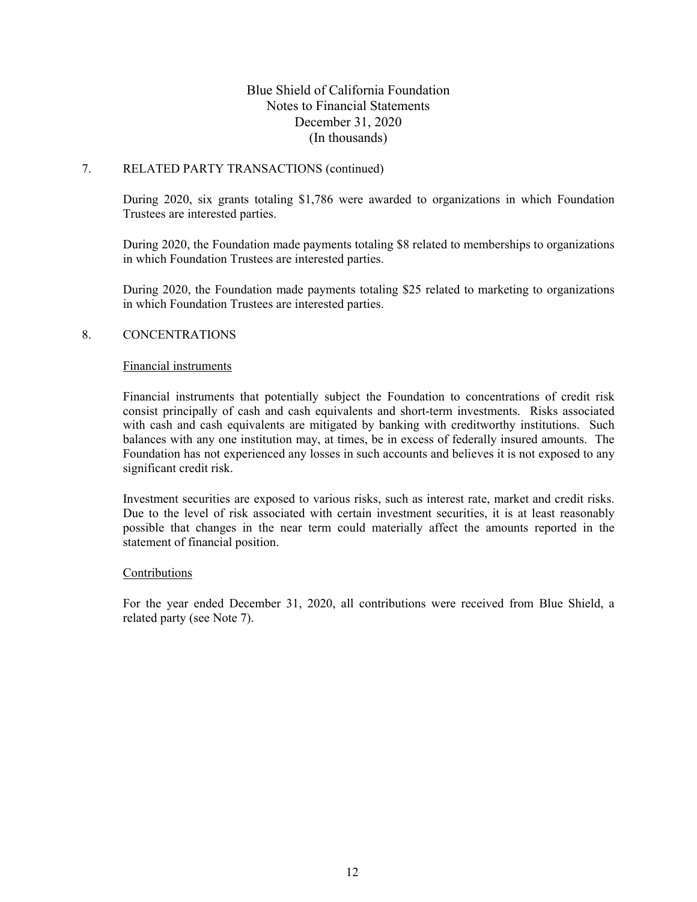# 7. RELATED PARTY TRANSACTIONS (continued)

During 2020, six grants totaling \$1,786 were awarded to organizations in which Foundation Trustees are interested parties.

During 2020, the Foundation made payments totaling \$8 related to memberships to organizations in which Foundation Trustees are interested parties.

During 2020, the Foundation made payments totaling \$25 related to marketing to organizations in which Foundation Trustees are interested parties.

### 8. CONCENTRATIONS

#### Financial instruments

Financial instruments that potentially subject the Foundation to concentrations of credit risk consist principally of cash and cash equivalents and short-term investments. Risks associated with cash and cash equivalents are mitigated by banking with creditworthy institutions. Such balances with any one institution may, at times, be in excess of federally insured amounts. The Foundation has not experienced any losses in such accounts and believes it is not exposed to any significant credit risk.

Investment securities are exposed to various risks, such as interest rate, market and credit risks. Due to the level of risk associated with certain investment securities, it is at least reasonably possible that changes in the near term could materially affect the amounts reported in the statement of financial position.

### Contributions

For the year ended December 31, 2020, all contributions were received from Blue Shield, a related party (see Note 7).